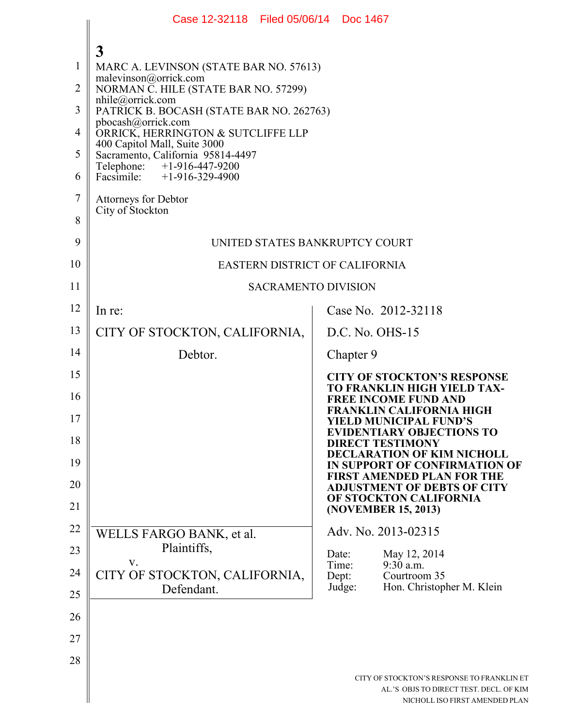|                | Case 12-32118 Filed 05/06/14 Doc 1467                             |                                                                                                                         |  |  |
|----------------|-------------------------------------------------------------------|-------------------------------------------------------------------------------------------------------------------------|--|--|
|                |                                                                   |                                                                                                                         |  |  |
| 1              | 3<br>MARC A. LEVINSON (STATE BAR NO. 57613)                       |                                                                                                                         |  |  |
| 2              | malevinson@orrick.com<br>NORMAN C. HILE (STATE BAR NO. 57299)     |                                                                                                                         |  |  |
| 3              | $n$ hile@orrick.com<br>PATRICK B. BOCASH (STATE BAR NO. 262763)   |                                                                                                                         |  |  |
| 4              | pbocash@orrick.com<br>ORRICK, HERRINGTON & SUTCLIFFE LLP          |                                                                                                                         |  |  |
| 5              | 400 Capitol Mall, Suite 3000<br>Sacramento, California 95814-4497 |                                                                                                                         |  |  |
| 6              | Telephone: +1-916-447-9200<br>Facsimile: +1-916-329-4900          |                                                                                                                         |  |  |
| $\overline{7}$ | <b>Attorneys for Debtor</b>                                       |                                                                                                                         |  |  |
| 8              | City of Stockton                                                  |                                                                                                                         |  |  |
| 9              | UNITED STATES BANKRUPTCY COURT                                    |                                                                                                                         |  |  |
| 10             | <b>EASTERN DISTRICT OF CALIFORNIA</b>                             |                                                                                                                         |  |  |
| 11             | <b>SACRAMENTO DIVISION</b>                                        |                                                                                                                         |  |  |
| 12             | In re:                                                            | Case No. 2012-32118                                                                                                     |  |  |
| 13             | CITY OF STOCKTON, CALIFORNIA,                                     | $D.C.$ No. $OHS-15$                                                                                                     |  |  |
| 14             | Debtor.                                                           | Chapter 9                                                                                                               |  |  |
| 15             |                                                                   | <b>CITY OF STOCKTON'S RESPONSE</b><br><b>TO FRANKLIN HIGH YIELD TAX-</b>                                                |  |  |
| 16             |                                                                   | <b>FREE INCOME FUND AND</b><br><b>FRANKLIN CALIFORNIA HIGH</b>                                                          |  |  |
| 17             |                                                                   | YIELD MUNICIPAL FUND'S<br><b>EVIDENTIARY OBJECTIONS TO</b>                                                              |  |  |
| 18             |                                                                   | <b>DIRECT TESTIMONY</b><br><b>DECLARATION OF KIM NICHOLL</b>                                                            |  |  |
| 19             |                                                                   | IN SUPPORT OF CONFIRMATION OF<br><b>FIRST AMENDED PLAN FOR THE</b>                                                      |  |  |
| 20             |                                                                   | <b>ADJUSTMENT OF DEBTS OF CITY</b><br>OF STOCKTON CALIFORNIA                                                            |  |  |
| 21             |                                                                   | (NOVEMBER 15, 2013)                                                                                                     |  |  |
| 22             | WELLS FARGO BANK, et al.<br>Plaintiffs,                           | Adv. No. 2013-02315                                                                                                     |  |  |
| 23             | V.                                                                | May 12, 2014<br>Date:<br>Time:<br>9:30 a.m.                                                                             |  |  |
| 24<br>25       | CITY OF STOCKTON, CALIFORNIA,<br>Defendant.                       | Dept:<br>Courtroom 35<br>Hon. Christopher M. Klein<br>Judge:                                                            |  |  |
| 26             |                                                                   |                                                                                                                         |  |  |
| 27             |                                                                   |                                                                                                                         |  |  |
| 28             |                                                                   |                                                                                                                         |  |  |
|                |                                                                   | CITY OF STOCKTON'S RESPONSE TO FRANKLIN ET<br>AL.'S OBJS TO DIRECT TEST. DECL. OF KIM<br>NICHOLL ISO FIRST AMENDED PLAN |  |  |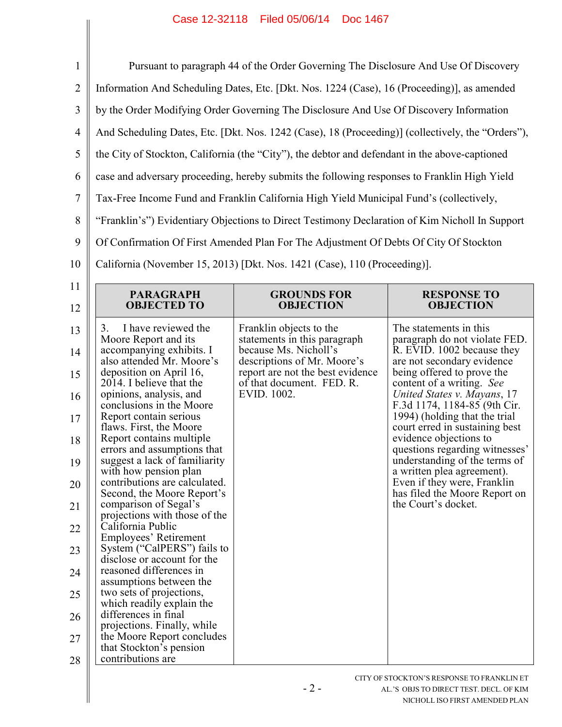## Case 12-32118 Filed 05/06/14 Doc 1467

| $\mathbf{1}$                                                                                 | Pursuant to paragraph 44 of the Order Governing The Disclosure And Use Of Discovery                                                                                                                                                                                                                                                                                                                                                                                                                                                                                                                                                                                                                                                                                                                                                                                                         |                                                                                                                                                                                                 |                                                                                                                                                                                                                                                                                                                                                                                                                                                                                                                                    |  |
|----------------------------------------------------------------------------------------------|---------------------------------------------------------------------------------------------------------------------------------------------------------------------------------------------------------------------------------------------------------------------------------------------------------------------------------------------------------------------------------------------------------------------------------------------------------------------------------------------------------------------------------------------------------------------------------------------------------------------------------------------------------------------------------------------------------------------------------------------------------------------------------------------------------------------------------------------------------------------------------------------|-------------------------------------------------------------------------------------------------------------------------------------------------------------------------------------------------|------------------------------------------------------------------------------------------------------------------------------------------------------------------------------------------------------------------------------------------------------------------------------------------------------------------------------------------------------------------------------------------------------------------------------------------------------------------------------------------------------------------------------------|--|
| $\overline{2}$                                                                               | Information And Scheduling Dates, Etc. [Dkt. Nos. 1224 (Case), 16 (Proceeding)], as amended                                                                                                                                                                                                                                                                                                                                                                                                                                                                                                                                                                                                                                                                                                                                                                                                 |                                                                                                                                                                                                 |                                                                                                                                                                                                                                                                                                                                                                                                                                                                                                                                    |  |
| 3                                                                                            | by the Order Modifying Order Governing The Disclosure And Use Of Discovery Information                                                                                                                                                                                                                                                                                                                                                                                                                                                                                                                                                                                                                                                                                                                                                                                                      |                                                                                                                                                                                                 |                                                                                                                                                                                                                                                                                                                                                                                                                                                                                                                                    |  |
| $\overline{4}$                                                                               | And Scheduling Dates, Etc. [Dkt. Nos. 1242 (Case), 18 (Proceeding)] (collectively, the "Orders"),                                                                                                                                                                                                                                                                                                                                                                                                                                                                                                                                                                                                                                                                                                                                                                                           |                                                                                                                                                                                                 |                                                                                                                                                                                                                                                                                                                                                                                                                                                                                                                                    |  |
| 5                                                                                            | the City of Stockton, California (the "City"), the debtor and defendant in the above-captioned                                                                                                                                                                                                                                                                                                                                                                                                                                                                                                                                                                                                                                                                                                                                                                                              |                                                                                                                                                                                                 |                                                                                                                                                                                                                                                                                                                                                                                                                                                                                                                                    |  |
| 6                                                                                            | case and adversary proceeding, hereby submits the following responses to Franklin High Yield                                                                                                                                                                                                                                                                                                                                                                                                                                                                                                                                                                                                                                                                                                                                                                                                |                                                                                                                                                                                                 |                                                                                                                                                                                                                                                                                                                                                                                                                                                                                                                                    |  |
| $\tau$                                                                                       | Tax-Free Income Fund and Franklin California High Yield Municipal Fund's (collectively,                                                                                                                                                                                                                                                                                                                                                                                                                                                                                                                                                                                                                                                                                                                                                                                                     |                                                                                                                                                                                                 |                                                                                                                                                                                                                                                                                                                                                                                                                                                                                                                                    |  |
| 8                                                                                            | "Franklin's") Evidentiary Objections to Direct Testimony Declaration of Kim Nicholl In Support                                                                                                                                                                                                                                                                                                                                                                                                                                                                                                                                                                                                                                                                                                                                                                                              |                                                                                                                                                                                                 |                                                                                                                                                                                                                                                                                                                                                                                                                                                                                                                                    |  |
| 9                                                                                            | Of Confirmation Of First Amended Plan For The Adjustment Of Debts Of City Of Stockton                                                                                                                                                                                                                                                                                                                                                                                                                                                                                                                                                                                                                                                                                                                                                                                                       |                                                                                                                                                                                                 |                                                                                                                                                                                                                                                                                                                                                                                                                                                                                                                                    |  |
| 10                                                                                           | California (November 15, 2013) [Dkt. Nos. 1421 (Case), 110 (Proceeding)].                                                                                                                                                                                                                                                                                                                                                                                                                                                                                                                                                                                                                                                                                                                                                                                                                   |                                                                                                                                                                                                 |                                                                                                                                                                                                                                                                                                                                                                                                                                                                                                                                    |  |
| 11<br>12                                                                                     | <b>PARAGRAPH</b><br><b>OBJECTED TO</b>                                                                                                                                                                                                                                                                                                                                                                                                                                                                                                                                                                                                                                                                                                                                                                                                                                                      | <b>GROUNDS FOR</b><br><b>OBJECTION</b>                                                                                                                                                          | <b>RESPONSE TO</b><br><b>OBJECTION</b>                                                                                                                                                                                                                                                                                                                                                                                                                                                                                             |  |
| 13<br>14<br>15<br>16<br>17<br>18<br>19<br>20<br>21<br>22<br>23<br>24<br>25<br>26<br>27<br>28 | 3.<br>I have reviewed the<br>Moore Report and its<br>accompanying exhibits. I<br>also attended Mr. Moore's<br>deposition on April 16,<br>2014. I believe that the<br>opinions, analysis, and<br>conclusions in the Moore<br>Report contain serious<br>flaws. First, the Moore<br>Report contains multiple<br>errors and assumptions that<br>suggest a lack of familiarity<br>with how pension plan<br>contributions are calculated.<br>Second, the Moore Report's<br>comparison of Segal's<br>projections with those of the<br>California Public<br>Employees' Retirement<br>System ("CalPERS") fails to<br>disclose or account for the<br>reasoned differences in<br>assumptions between the<br>two sets of projections,<br>which readily explain the<br>differences in final<br>projections. Finally, while<br>the Moore Report concludes<br>that Stockton's pension<br>contributions are | Franklin objects to the<br>statements in this paragraph<br>because Ms. Nicholl's<br>descriptions of Mr. Moore's<br>report are not the best evidence<br>of that document. FED. R.<br>EVID. 1002. | The statements in this<br>paragraph do not violate FED.<br>R. EVID. 1002 because they<br>are not secondary evidence<br>being offered to prove the<br>content of a writing. See<br>United States v. Mayans, 17<br>F.3d 1174, 1184-85 (9th Cir.<br>1994) (holding that the trial<br>court erred in sustaining best<br>evidence objections to<br>questions regarding witnesses'<br>understanding of the terms of<br>a written plea agreement).<br>Even if they were, Franklin<br>has filed the Moore Report on<br>the Court's docket. |  |